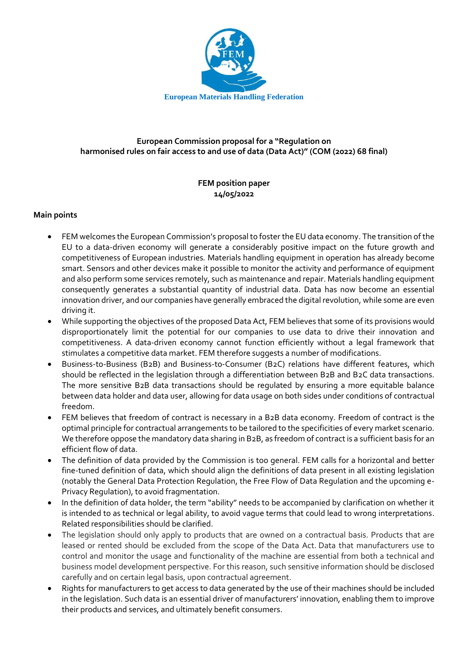

## **European Commission proposal for a "Regulation on harmonised rules on fair access to and use of data (Data Act)" (COM (2022) 68 final)**

## **FEM position paper 14/05/2022**

## **Main points**

- FEM welcomes the European Commission's proposal to foster the EU data economy. The transition of the EU to a data-driven economy will generate a considerably positive impact on the future growth and competitiveness of European industries*.* Materials handling equipment in operation has already become smart. Sensors and other devices make it possible to monitor the activity and performance of equipment and also perform some services remotely, such as maintenance and repair. Materials handling equipment consequently generates a substantial quantity of industrial data. Data has now become an essential innovation driver, and our companies have generally embraced the digital revolution, while some are even driving it.
- While supporting the objectives of the proposed Data Act, FEM believes that some of its provisions would disproportionately limit the potential for our companies to use data to drive their innovation and competitiveness. A data-driven economy cannot function efficiently without a legal framework that stimulates a competitive data market. FEM therefore suggests a number of modifications.
- Business-to-Business (B2B) and Business-to-Consumer (B2C) relations have different features, which should be reflected in the legislation through a differentiation between B2B and B2C data transactions. The more sensitive B2B data transactions should be regulated by ensuring a more equitable balance between data holder and data user, allowing for data usage on both sides under conditions of contractual freedom.
- FEM believes that freedom of contract is necessary in a B2B data economy*.* Freedom of contract is the optimal principle for contractual arrangements to be tailored to the specificities of every market scenario. We therefore oppose the mandatory data sharing in B2B, as freedom of contract is a sufficient basis for an efficient flow of data.
- The definition of data provided by the Commission is too general. FEM calls for a horizontal and better fine-tuned definition of data, which should align the definitions of data present in all existing legislation (notably the General Data Protection Regulation, the Free Flow of Data Regulation and the upcoming e-Privacy Regulation), to avoid fragmentation.
- In the definition of data holder, the term "ability" needs to be accompanied by clarification on whether it is intended to as technical or legal ability, to avoid vague terms that could lead to wrong interpretations. Related responsibilities should be clarified.
- The legislation should only apply to products that are owned on a contractual basis. Products that are leased or rented should be excluded from the scope of the Data Act. Data that manufacturers use to control and monitor the usage and functionality of the machine are essential from both a technical and business model development perspective. For this reason, such sensitive information should be disclosed carefully and on certain legal basis, upon contractual agreement.
- Rights for manufacturers to get access to data generated by the use of their machines should be included in the legislation. Such data is an essential driver of manufacturers' innovation, enabling them to improve their products and services, and ultimately benefit consumers.